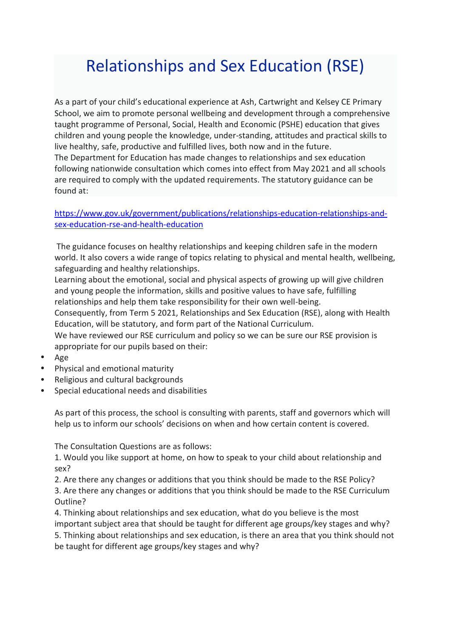## Relationships and Sex Education (RSE)

As a part of your child's educational experience at Ash, Cartwright and Kelsey CE Primary School, we aim to promote personal wellbeing and development through a comprehensive taught programme of Personal, Social, Health and Economic (PSHE) education that gives children and young people the knowledge, under-standing, attitudes and practical skills to live healthy, safe, productive and fulfilled lives, both now and in the future. The Department for Education has made changes to relationships and sex education following nationwide consultation which comes into effect from May 2021 and all schools are required to comply with the updated requirements. The statutory guidance can be found at:

## [https://www.gov.uk/government/publications/relationships-education-relationships-and](https://www.gov.uk/government/publications/relationships-education-relationships-and-sex-education-rse-and-health-education)[sex-education-rse-and-health-education](https://www.gov.uk/government/publications/relationships-education-relationships-and-sex-education-rse-and-health-education)

The guidance focuses on healthy relationships and keeping children safe in the modern world. It also covers a wide range of topics relating to physical and mental health, wellbeing, safeguarding and healthy relationships.

Learning about the emotional, social and physical aspects of growing up will give children and young people the information, skills and positive values to have safe, fulfilling relationships and help them take responsibility for their own well-being.

Consequently, from Term 5 2021, Relationships and Sex Education (RSE), along with Health Education, will be statutory, and form part of the National Curriculum.

We have reviewed our RSE curriculum and policy so we can be sure our RSE provision is appropriate for our pupils based on their:

- Age
- Physical and emotional maturity
- Religious and cultural backgrounds
- Special educational needs and disabilities

As part of this process, the school is consulting with parents, staff and governors which will help us to inform our schools' decisions on when and how certain content is covered.

The Consultation Questions are as follows:

1. Would you like support at home, on how to speak to your child about relationship and sex?

2. Are there any changes or additions that you think should be made to the RSE Policy? 3. Are there any changes or additions that you think should be made to the RSE Curriculum Outline?

4. Thinking about relationships and sex education, what do you believe is the most important subject area that should be taught for different age groups/key stages and why? 5. Thinking about relationships and sex education, is there an area that you think should not

be taught for different age groups/key stages and why?